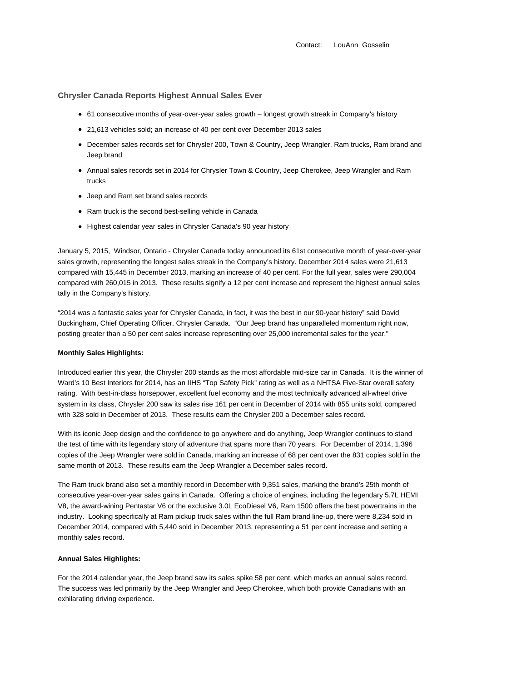Contact: LouAnn Gosselin

# **Chrysler Canada Reports Highest Annual Sales Ever**

- 61 consecutive months of year-over-year sales growth longest growth streak in Company's history
- 21,613 vehicles sold; an increase of 40 per cent over December 2013 sales
- December sales records set for Chrysler 200, Town & Country, Jeep Wrangler, Ram trucks, Ram brand and Jeep brand
- Annual sales records set in 2014 for Chrysler Town & Country, Jeep Cherokee, Jeep Wrangler and Ram trucks
- Jeep and Ram set brand sales records
- Ram truck is the second best-selling vehicle in Canada
- Highest calendar year sales in Chrysler Canada's 90 year history

January 5, 2015, Windsor, Ontario - Chrysler Canada today announced its 61st consecutive month of year-over-year sales growth, representing the longest sales streak in the Company's history. December 2014 sales were 21,613 compared with 15,445 in December 2013, marking an increase of 40 per cent. For the full year, sales were 290,004 compared with 260,015 in 2013. These results signify a 12 per cent increase and represent the highest annual sales tally in the Company's history.

"2014 was a fantastic sales year for Chrysler Canada, in fact, it was the best in our 90-year history" said David Buckingham, Chief Operating Officer, Chrysler Canada. "Our Jeep brand has unparalleled momentum right now, posting greater than a 50 per cent sales increase representing over 25,000 incremental sales for the year."

## **Monthly Sales Highlights:**

Introduced earlier this year, the Chrysler 200 stands as the most affordable mid-size car in Canada. It is the winner of Ward's 10 Best Interiors for 2014, has an IIHS "Top Safety Pick" rating as well as a NHTSA Five-Star overall safety rating. With best-in-class horsepower, excellent fuel economy and the most technically advanced all-wheel drive system in its class, Chrysler 200 saw its sales rise 161 per cent in December of 2014 with 855 units sold, compared with 328 sold in December of 2013. These results earn the Chrysler 200 a December sales record.

With its iconic Jeep design and the confidence to go anywhere and do anything, Jeep Wrangler continues to stand the test of time with its legendary story of adventure that spans more than 70 years. For December of 2014, 1,396 copies of the Jeep Wrangler were sold in Canada, marking an increase of 68 per cent over the 831 copies sold in the same month of 2013. These results earn the Jeep Wrangler a December sales record.

The Ram truck brand also set a monthly record in December with 9,351 sales, marking the brand's 25th month of consecutive year-over-year sales gains in Canada. Offering a choice of engines, including the legendary 5.7L HEMI V8, the award-wining Pentastar V6 or the exclusive 3.0L EcoDiesel V6, Ram 1500 offers the best powertrains in the industry. Looking specifically at Ram pickup truck sales within the full Ram brand line-up, there were 8,234 sold in December 2014, compared with 5,440 sold in December 2013, representing a 51 per cent increase and setting a monthly sales record.

#### **Annual Sales Highlights:**

For the 2014 calendar year, the Jeep brand saw its sales spike 58 per cent, which marks an annual sales record. The success was led primarily by the Jeep Wrangler and Jeep Cherokee, which both provide Canadians with an exhilarating driving experience.